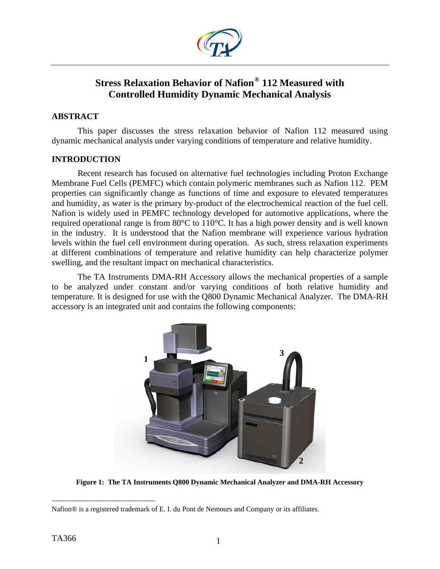

# **Stress Relaxation Behavior of Nafion[®](#page-0-0) 112 Measured with Controlled Humidity Dynamic Mechanical Analysis**

## **ABSTRACT**

This paper discusses the stress relaxation behavior of Nafion 112 measured using dynamic mechanical analysis under varying conditions of temperature and relative humidity.

## **INTRODUCTION**

Recent research has focused on alternative fuel technologies including Proton Exchange Membrane Fuel Cells (PEMFC) which contain polymeric membranes such as Nafion 112. PEM properties can significantly change as functions of time and exposure to elevated temperatures and humidity, as water is the primary by-product of the electrochemical reaction of the fuel cell. Nafion is widely used in PEMFC technology developed for automotive applications, where the required operational range is from 80°C to 110°C. It has a high power density and is well known in the industry. It is understood that the Nafion membrane will experience various hydration levels within the fuel cell environment during operation. As such, stress relaxation experiments at different combinations of temperature and relative humidity can help characterize polymer swelling, and the resultant impact on mechanical characteristics.

The TA Instruments DMA-RH Accessory allows the mechanical properties of a sample to be analyzed under constant and/or varying conditions of both relative humidity and temperature. It is designed for use with the Q800 Dynamic Mechanical Analyzer. The DMA-RH accessory is an integrated unit and contains the following components:



**Figure 1: The TA Instruments Q800 Dynamic Mechanical Analyzer and DMA-RH Accessory** 

 $\overline{a}$ 

<span id="page-0-0"></span>Nafion® is a registered trademark of E. I. du Pont de Nemours and Company or its affiliates.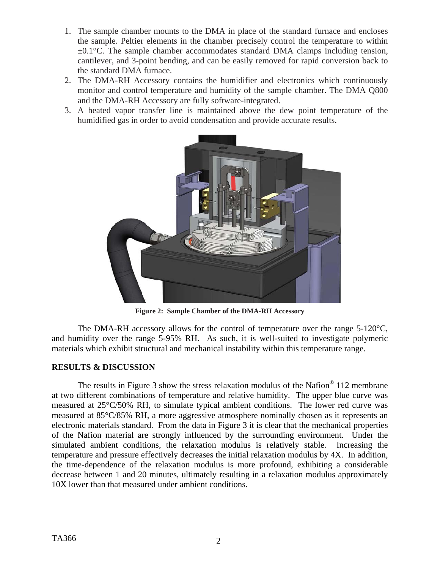- 1. The sample chamber mounts to the DMA in place of the standard furnace and encloses the sample. Peltier elements in the chamber precisely control the temperature to within  $\pm 0.1^{\circ}$ C. The sample chamber accommodates standard DMA clamps including tension, cantilever, and 3-point bending, and can be easily removed for rapid conversion back to the standard DMA furnace.
- 2. The DMA-RH Accessory contains the humidifier and electronics which continuously monitor and control temperature and humidity of the sample chamber. The DMA Q800 and the DMA-RH Accessory are fully software-integrated.
- 3. A heated vapor transfer line is maintained above the dew point temperature of the humidified gas in order to avoid condensation and provide accurate results.



**Figure 2: Sample Chamber of the DMA-RH Accessory** 

The DMA-RH accessory allows for the control of temperature over the range 5-120<sup>o</sup>C, and humidity over the range 5-95% RH. As such, it is well-suited to investigate polymeric materials which exhibit structural and mechanical instability within this temperature range.

# **RESULTS & DISCUSSION**

The results in Figure 3 show the stress relaxation modulus of the Nafion<sup>®</sup> 112 membrane at two different combinations of temperature and relative humidity. The upper blue curve was measured at 25°C/50% RH, to simulate typical ambient conditions. The lower red curve was measured at 85°C/85% RH, a more aggressive atmosphere nominally chosen as it represents an electronic materials standard. From the data in Figure 3 it is clear that the mechanical properties of the Nafion material are strongly influenced by the surrounding environment. Under the simulated ambient conditions, the relaxation modulus is relatively stable. Increasing the temperature and pressure effectively decreases the initial relaxation modulus by 4X. In addition, the time-dependence of the relaxation modulus is more profound, exhibiting a considerable decrease between 1 and 20 minutes, ultimately resulting in a relaxation modulus approximately 10X lower than that measured under ambient conditions.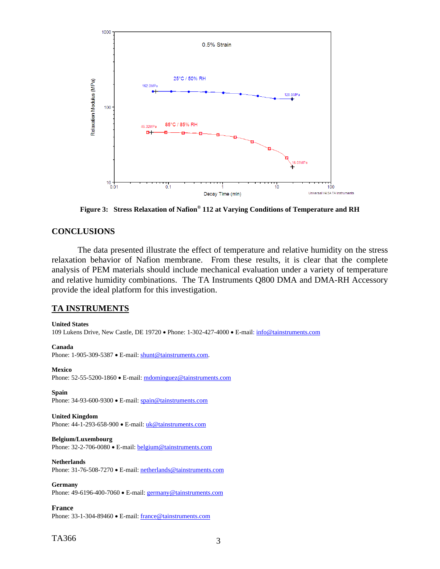

**Figure 3: Stress Relaxation of Nafion® 112 at Varying Conditions of Temperature and RH** 

# **CONCLUSIONS**

The data presented illustrate the effect of temperature and relative humidity on the stress relaxation behavior of Nafion membrane. From these results, it is clear that the complete analysis of PEM materials should include mechanical evaluation under a variety of temperature and relative humidity combinations. The TA Instruments Q800 DMA and DMA-RH Accessory provide the ideal platform for this investigation.

# **TA INSTRUMENTS**

### **United States**

109 Lukens Drive, New Castle, DE 19720 • Phone: 1-302-427-4000 • E-mail: [info@tainstruments.com](mailto:info@tainstruments.com) 

### **Canada**

Phone: 1-905-309-5387 • E-mail: [shunt@tainstruments.com.](mailto:shunt@tainstruments.com)

## **Mexico**

Phone: 52-55-5200-1860 • E-mail: mdominguez@tainstruments.com

## **Spain**

Phone: 34-93-600-9300 • E-mail: spain@tainstruments.com

## **United Kingdom**

Phone: 44-1-293-658-900 • E-mail: *uk@tainstruments.com* 

# **Belgium/Luxembourg**

Phone: 32-2-706-0080 • E-mail: belgium@tainstruments.com

## **Netherlands**

Phone: 31-76-508-7270 • E-mail: [netherlands@tainstruments.com](mailto:netherlands@tainstruments.com)

## **Germany**

Phone: 49-6196-400-7060 • E-mail: [germany@tainstruments.com](mailto:germany@tainstruments.com)

## **France**

Phone: 33-1-304-89460 • E-mail: [france@tainstruments.com](mailto:france@tainstruments.com)

# $TA366$  3